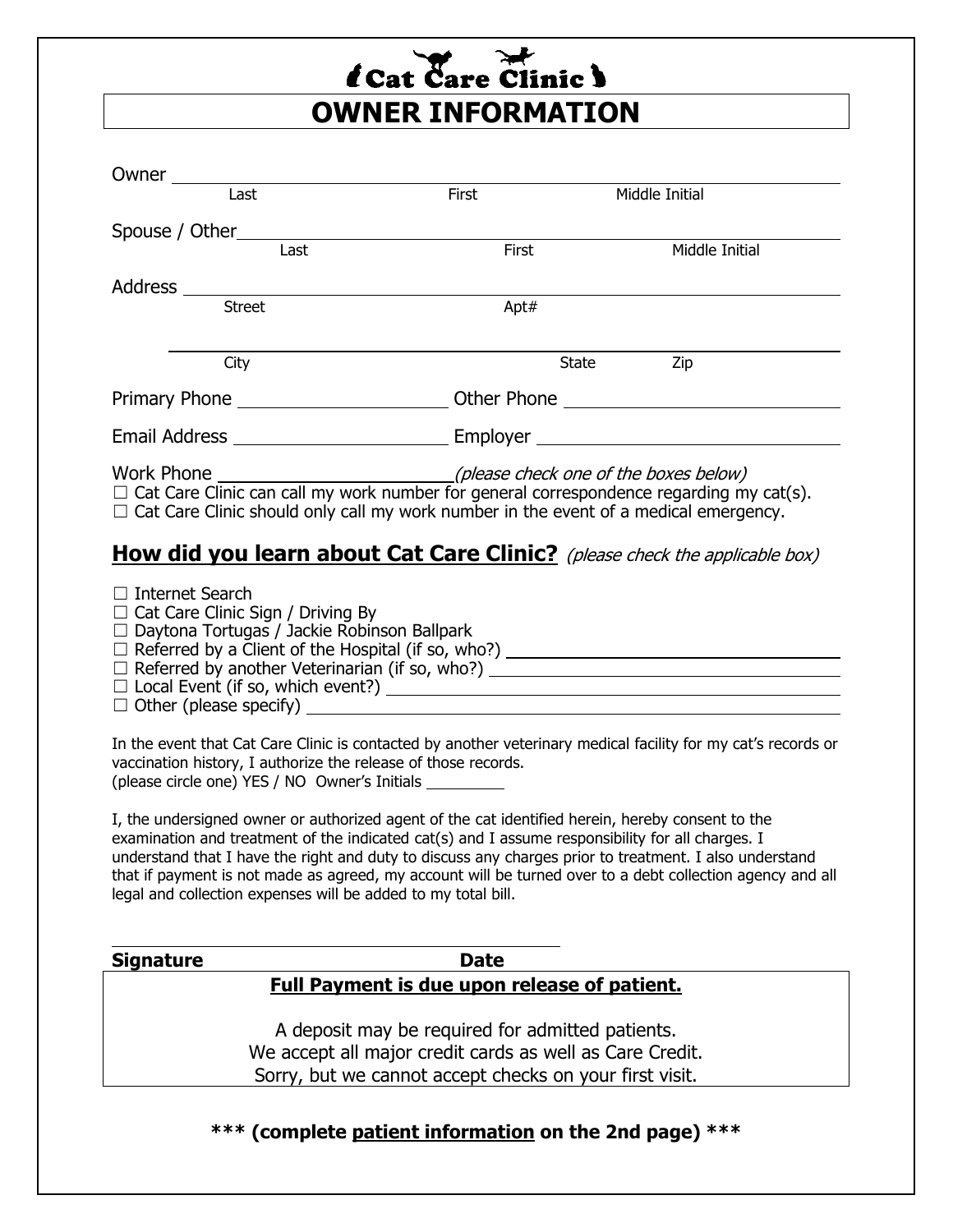## *l* Cat Care Clinic ) **OWNER INFORMATION**

| Last                                                                                                                                                                                                                                                 | First | Middle Initial |  |  |  |  |  |
|------------------------------------------------------------------------------------------------------------------------------------------------------------------------------------------------------------------------------------------------------|-------|----------------|--|--|--|--|--|
|                                                                                                                                                                                                                                                      |       |                |  |  |  |  |  |
| Last                                                                                                                                                                                                                                                 | First | Middle Initial |  |  |  |  |  |
|                                                                                                                                                                                                                                                      |       |                |  |  |  |  |  |
|                                                                                                                                                                                                                                                      | Apt#  |                |  |  |  |  |  |
| City                                                                                                                                                                                                                                                 |       | State Zip      |  |  |  |  |  |
|                                                                                                                                                                                                                                                      |       |                |  |  |  |  |  |
|                                                                                                                                                                                                                                                      |       |                |  |  |  |  |  |
| Work Phone $\mu$ (please check one of the boxes below) $\Box$ Cat Care Clinic can call my work number for general correspondence regarding my cat(s).<br>$\Box$ Cat Care Clinic should only call my work number in the event of a medical emergency. |       |                |  |  |  |  |  |
| <b>How did you learn about Cat Care Clinic?</b> (please check the applicable box)                                                                                                                                                                    |       |                |  |  |  |  |  |
| $\Box$ Internet Search<br>$\Box$ Cat Care Clinic Sign / Driving By<br>□ Daytona Tortugas / Jackie Robinson Ballpark                                                                                                                                  |       |                |  |  |  |  |  |
| In the event that Cat Care Clinic is contacted by another veterinary medical facility for my cat's records or<br>vaccination history, I authorize the release of those records.<br>(please circle one) YES / NO Owner's Initials __________          |       |                |  |  |  |  |  |
| وينتجر المنافي والمستحيل والمراقب والمتحاول والمتحاول والمنافي والمنافي والمنافي والمنافي والمنافي والمنافي                                                                                                                                          |       |                |  |  |  |  |  |

I, the undersigned owner or authorized agent of the cat identified herein, hereby consent to the examination and treatment of the indicated cat(s) and I assume responsibility for all charges. I understand that I have the right and duty to discuss any charges prior to treatment. I also understand that if payment is not made as agreed, my account will be turned over to a debt collection agency and all legal and collection expenses will be added to my total bill.

| Signature |  |
|-----------|--|
|           |  |

## **Date**

## **Full Payment is due upon release of patient.**

A deposit may be required for admitted patients. We accept all major credit cards as well as Care Credit. Sorry, but we cannot accept checks on your first visit.

**\*\*\* (complete patient information on the 2nd page) \*\*\***